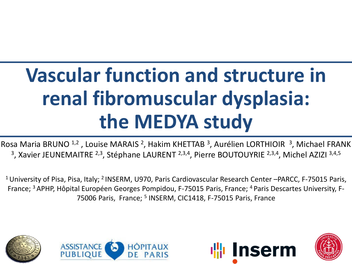# **Vascular function and structure in renal fibromuscular dysplasia: the MEDYA study**

Rosa Maria BRUNO<sup>1,2</sup>, Louise MARAIS<sup>2</sup>, Hakim KHETTAB<sup>3</sup>, Aurélien LORTHIOIR<sup>3</sup>, Michael FRANK <sup>3</sup>, Xavier JEUNEMAITRE <sup>2,3</sup>, Stéphane LAURENT <sup>2,3,4</sup>, Pierre BOUTOUYRIE <sup>2,3,4</sup>, Michel AZIZI <sup>3,4,5</sup>

<sup>1</sup> University of Pisa, Pisa, Italy; <sup>2</sup> INSERM, U970, Paris Cardiovascular Research Center –PARCC, F-75015 Paris, France; 3 APHP, Hôpital Européen Georges Pompidou, F-75015 Paris, France; 4 Paris Descartes University, F-75006 Paris, France; <sup>5</sup> INSERM, CIC1418, F-75015 Paris, France







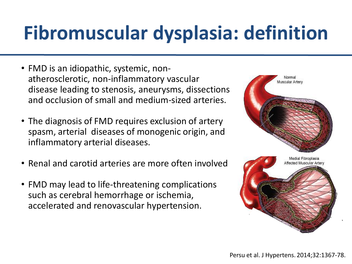# **Fibromuscular dysplasia: definition**

- FMD is an idiopathic, systemic, nonatherosclerotic, non-inflammatory vascular disease leading to stenosis, aneurysms, dissections and occlusion of small and medium-sized arteries.
- The diagnosis of FMD requires exclusion of artery spasm, arterial diseases of monogenic origin, and inflammatory arterial diseases.
- Renal and carotid arteries are more often involved
- FMD may lead to life-threatening complications such as cerebral hemorrhage or ischemia, accelerated and renovascular hypertension.

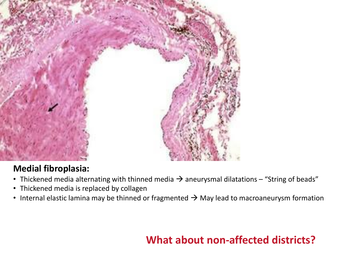

### **Medial fibroplasia:**

- Thickened media alternating with thinned media  $\rightarrow$  aneurysmal dilatations "String of beads"
- Thickened media is replaced by collagen
- Internal elastic lamina may be thinned or fragmented  $\rightarrow$  May lead to macroaneurysm formation

### **What about non-affected districts?**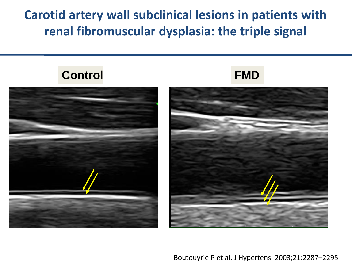### **Carotid artery wall subclinical lesions in patients with renal fibromuscular dysplasia: the triple signal**







Boutouyrie P et al. J Hypertens. 2003;21:2287–2295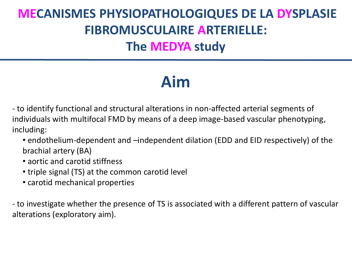# **MECANISMES PHYSIOPATHOLOGIQUES DE LA DYSPLASIE FIBROMUSCULAIRE ARTERIELLE: The MEDYA study**

# **Aim**

- to identify functional and structural alterations in non-affected arterial segments of individuals with multifocal FMD by means of a deep image-based vascular phenotyping, including:

- endothelium-dependent and –independent dilation (EDD and EID respectively) of the brachial artery (BA)
- aortic and carotid stiffness
- triple signal (TS) at the common carotid level
- carotid mechanical properties

- to investigate whether the presence of TS is associated with a different pattern of vascular alterations (exploratory aim).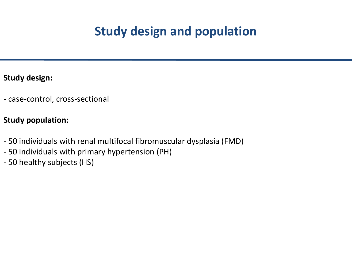### **Study design and population**

#### **Study design:**

- case-control, cross-sectional

#### **Study population:**

- 50 individuals with renal multifocal fibromuscular dysplasia (FMD)
- 50 individuals with primary hypertension (PH)
- 50 healthy subjects (HS)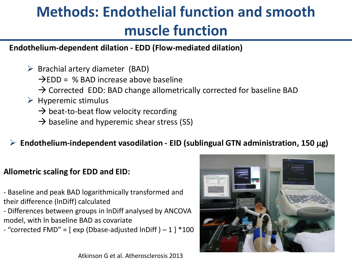# **Methods: Endothelial function and smooth muscle function**

#### **Endothelium-dependent dilation - EDD (Flow-mediated dilation)**

- $\triangleright$  Brachial artery diameter (BAD)
	- $\rightarrow$ EDD = % BAD increase above baseline
	- $\rightarrow$  Corrected EDD: BAD change allometrically corrected for baseline BAD
- $\triangleright$  Hyperemic stimulus
	- $\rightarrow$  beat-to-beat flow velocity recording
	- $\rightarrow$  baseline and hyperemic shear stress (SS)
- ➢ **Endothelium-independent vasodilation - EID (sublingual GTN administration, 150 g)**

#### **Allometric scaling for EDD and EID:**

- Baseline and peak BAD logarithmically transformed and their difference (lnDiff) calculated

- Differences between groups in lnDiff analysed by ANCOVA model, with ln baseline BAD as covariate
- "corrected FMD" =  $\lceil$  exp (Dbase-adjusted lnDiff  $) 1$   $\rceil$  \*100



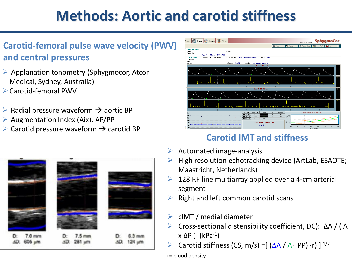# **Methods: Aortic and carotid stiffness**

### **Carotid-femoral pulse wave velocity (PWV) and central pressures**

- ➢ Applanation tonometry (Sphygmocor, Atcor Medical, Sydney, Australia)
- ➢Carotid-femoral PWV
- $\triangleright$  Radial pressure waveform  $\rightarrow$  aortic BP
- $\triangleright$  Augmentation Index (Aix): AP/PP
- $\triangleright$  Carotid pressure waveform  $\rightarrow$  carotid BP





### **Carotid IMT and stiffness**

- $\triangleright$  Automated image-analysis
- High resolution echotracking device (ArtLab, ESAOTE; Maastricht, Netherlands)
- 128 RF line multiarray applied over a 4-cm arterial segment
- ➢ Right and left common carotid scans
- $\triangleright$  cIMT / medial diameter
- ➢ Cross-sectional distensibility coefficient, DC): ΔA / ( A  $x \Delta P$  ) (kPa<sup>-1</sup>)
	- Carotid stiffness (CS, m/s) =  $(\Delta A / A \cdot PP) \cdot r$ )  $]^{-1/2}$

r= blood density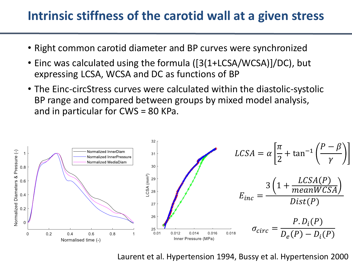### **Intrinsic stiffness of the carotid wall at a given stress**

- Right common carotid diameter and BP curves were synchronized
- Einc was calculated using the formula ([3(1+LCSA/WCSA)]/DC), but expressing LCSA, WCSA and DC as functions of BP
- The Einc-circStress curves were calculated within the diastolic-systolic BP range and compared between groups by mixed model analysis, and in particular for CWS = 80 KPa.



Laurent et al. Hypertension 1994, Bussy et al. Hypertension 2000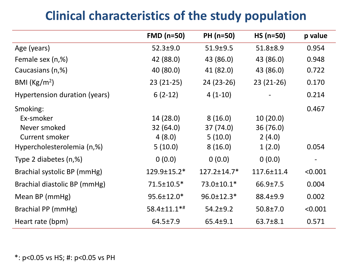## **Clinical characteristics of the study population**

|                               | $FMD$ (n=50)   | PH (n=50)         | $HS (n=50)$      | p value |
|-------------------------------|----------------|-------------------|------------------|---------|
| Age (years)                   | $52.3 \pm 9.0$ | $51.9 + 9.5$      | $51.8 \pm 8.9$   | 0.954   |
| Female sex (n,%)              | 42 (88.0)      | 43 (86.0)         | 43 (86.0)        | 0.948   |
| Caucasians (n,%)              | 40 (80.0)      | 41 (82.0)         | 43 (86.0)        | 0.722   |
| BMI $(Kg/m2)$                 | $23(21-25)$    | 24 (23-26)        | $23(21-26)$      | 0.170   |
| Hypertension duration (years) | $6(2-12)$      | $4(1-10)$         |                  | 0.214   |
| Smoking:                      |                |                   |                  | 0.467   |
| Ex-smoker                     | 14(28.0)       | 8(16.0)           | 10(20.0)         |         |
| Never smoked                  | 32(64.0)       | 37 (74.0)         | 36 (76.0)        |         |
| Current smoker                | 4(8.0)         | 5(10.0)           | 2(4.0)           |         |
| Hypercholesterolemia (n,%)    | 5(10.0)        | 8(16.0)           | 1(2.0)           | 0.054   |
| Type 2 diabetes (n,%)         | 0(0.0)         | 0(0.0)            | 0(0.0)           |         |
| Brachial systolic BP (mmHg)   | 129.9±15.2*    | $127.2 \pm 14.7*$ | $117.6 \pm 11.4$ | < 0.001 |
| Brachial diastolic BP (mmHg)  | 71.5±10.5*     | 73.0±10.1*        | $66.9 \pm 7.5$   | 0.004   |
| Mean BP (mmHg)                | 95.6±12.0*     | 96.0±12.3*        | 88.4±9.9         | 0.002   |
| Brachial PP (mmHg)            | 58.4±11.1*#    | $54.2 \pm 9.2$    | $50.8 \pm 7.0$   | < 0.001 |
| Heart rate (bpm)              | 64.5±7.9       | $65.4 \pm 9.1$    | 63.7±8.1         | 0.571   |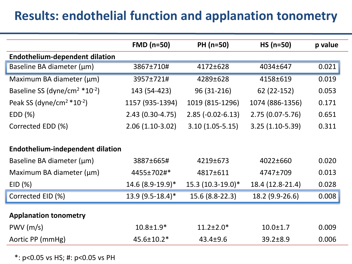### **Results: endothelial function and applanation tonometry**

|                                                          | $FMD$ (n=50)       | <b>PH (n=50)</b>    | $HS (n=50)$         | p value |
|----------------------------------------------------------|--------------------|---------------------|---------------------|---------|
| <b>Endothelium-dependent dilation</b>                    |                    |                     |                     |         |
| Baseline BA diameter (µm)                                | 3867±710#          | 4172±628            | 4034±647            | 0.021   |
| Maximum BA diameter (µm)                                 | 3957±721#          | 4289±628            | 4158±619            | 0.019   |
| Baseline SS (dyne/cm <sup>2 <math>*10^{-2}</math>)</sup> | 143 (54-423)       | 96 (31-216)         | 62 (22-152)         | 0.053   |
| Peak SS (dyne/cm <sup>2 <math>*10^{-2}</math>)</sup>     | 1157 (935-1394)    | 1019 (815-1296)     | 1074 (886-1356)     | 0.171   |
| EDD(%)                                                   | $2.43(0.30-4.75)$  | $2.85$ (-0.02-6.13) | $2.75(0.07 - 5.76)$ | 0.651   |
| Corrected EDD (%)                                        | $2.06(1.10-3.02)$  | $3.10(1.05-5.15)$   | $3.25(1.10-5.39)$   | 0.311   |
|                                                          |                    |                     |                     |         |
| <b>Endothelium-independent dilation</b>                  |                    |                     |                     |         |
| Baseline BA diameter (µm)                                | 3887±665#          | 4219±673            | 4022±660            | 0.020   |
| Maximum BA diameter (µm)                                 | 4455±702#*         | 4817±611            | 4747±709            | 0.013   |
| EID(%)                                                   | 14.6 (8.9-19.9)*   | 15.3 (10.3-19.0)*   | 18.4 (12.8-21.4)    | 0.028   |
| Corrected EID (%)                                        | $13.9(9.5-18.4)$ * | 15.6 (8.8-22.3)     | 18.2 (9.9-26.6)     | 0.008   |
|                                                          |                    |                     |                     |         |
| <b>Applanation tonometry</b>                             |                    |                     |                     |         |
| PWV(m/s)                                                 | $10.8 \pm 1.9*$    | $11.2 \pm 2.0*$     | $10.0 \pm 1.7$      | 0.009   |
| Aortic PP (mmHg)                                         | 45.6±10.2*         | 43.4±9.6            | $39.2 \pm 8.9$      | 0.006   |

\*: p<0.05 vs HS; #: p<0.05 vs PH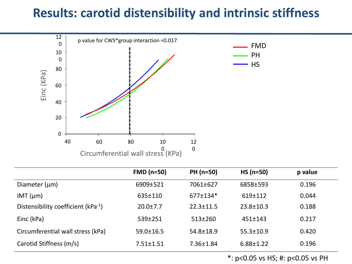### **Results: carotid distensibility and intrinsic stiffness**



|                                    | $FMD(n=50)$     | PH (n=50)       | $HS (n=50)$     | p value |
|------------------------------------|-----------------|-----------------|-----------------|---------|
| Diameter $(\mu m)$                 | 6909±521        | 7061±627        | 6858±593        | 0.196   |
| $IMT$ ( $µm$ )                     | $635 \pm 110$   | 677±134*        | 619±112         | 0.044   |
| Distensibility coefficient (kPa-1) | $20.0 \pm 7.7$  | $22.3 \pm 11.5$ | $23.8 \pm 10.3$ | 0.188   |
| Einc (kPa)                         | 539±251         | $513 \pm 260$   | $451 \pm 143$   | 0.217   |
| Circumferential wall stress (kPa)  | $59.0 \pm 16.5$ | 54.8±18.9       | $55.3 \pm 10.9$ | 0.420   |
| Carotid Stiffness (m/s)            | $7.51 \pm 1.51$ | 7.36±1.84       | $6.88 \pm 1.22$ | 0.196   |

\*: p<0.05 vs HS; #: p<0.05 vs PH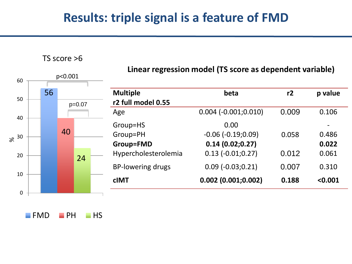### **Results: triple signal is a feature of FMD**



TS score >6

FMD PH HS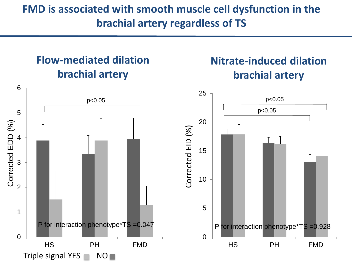### **FMD is associated with smooth muscle cell dysfunction in the brachial artery regardless of TS**

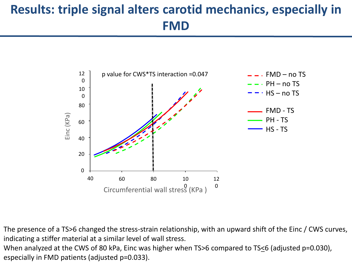# **Results: triple signal alters carotid mechanics, especially in FMD**



The presence of a TS>6 changed the stress-strain relationship, with an upward shift of the Einc / CWS curves, indicating a stiffer material at a similar level of wall stress.

When analyzed at the CWS of 80 kPa, Einc was higher when TS>6 compared to TS<6 (adjusted p=0.030), especially in FMD patients (adjusted p=0.033).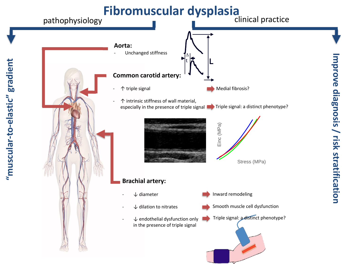

**Improve diagnosis / risk stratification**mprove diagnosis / risk stratification